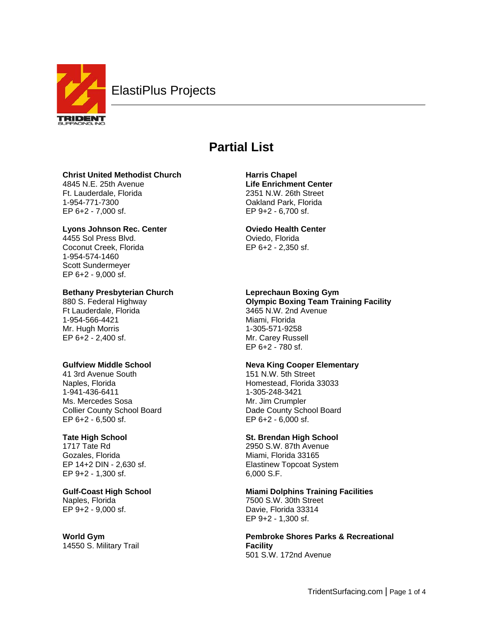

# **Partial List**

# **Christ United Methodist Church**

4845 N.E. 25th Avenue Ft. Lauderdale, Florida 1-954-771-7300 EP 6+2 - 7,000 sf.

# **Lyons Johnson Rec. Center**

4455 Sol Press Blvd. Coconut Creek, Florida 1-954-574-1460 Scott Sundermeyer EP 6+2 - 9,000 sf.

# **Bethany Presbyterian Church**

880 S. Federal Highway Ft Lauderdale, Florida 1-954-566-4421 Mr. Hugh Morris EP 6+2 - 2,400 sf.

# **Gulfview Middle School**

41 3rd Avenue South Naples, Florida 1-941-436-6411 Ms. Mercedes Sosa Collier County School Board EP 6+2 - 6,500 sf.

# **Tate High School**

1717 Tate Rd Gozales, Florida EP 14+2 DIN - 2,630 sf. EP 9+2 - 1,300 sf.

**Gulf-Coast High School** Naples, Florida EP 9+2 - 9,000 sf.

## **World Gym** 14550 S. Military Trail

**Harris Chapel Life Enrichment Center** 2351 N.W. 26th Street Oakland Park, Florida EP 9+2 - 6,700 sf.

# **Oviedo Health Center**

Oviedo, Florida EP 6+2 - 2,350 sf.

# **Leprechaun Boxing Gym**

**Olympic Boxing Team Training Facility** 3465 N.W. 2nd Avenue Miami, Florida 1-305-571-9258 Mr. Carey Russell EP 6+2 - 780 sf.

# **Neva King Cooper Elementary**

151 N.W. 5th Street Homestead, Florida 33033 1-305-248-3421 Mr. Jim Crumpler Dade County School Board EP 6+2 - 6,000 sf.

# **St. Brendan High School**

2950 S.W. 87th Avenue Miami, Florida 33165 Elastinew Topcoat System 6,000 S.F.

**Miami Dolphins Training Facilities** 7500 S.W. 30th Street Davie, Florida 33314 EP 9+2 - 1,300 sf.

**Pembroke Shores Parks & Recreational Facility** 501 S.W. 172nd Avenue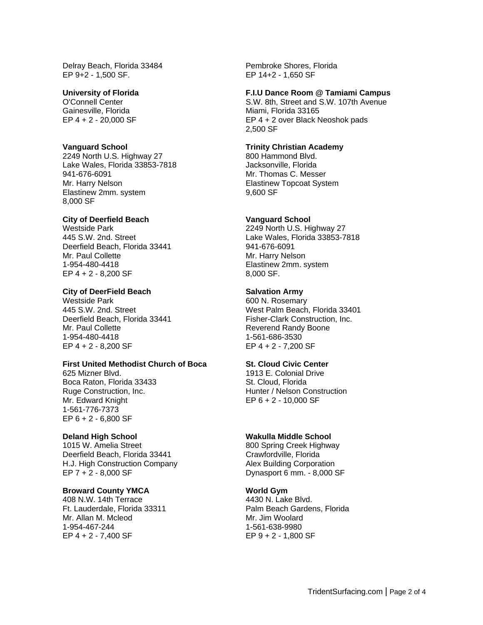Delray Beach, Florida 33484 EP 9+2 - 1,500 SF.

## **University of Florida**

O'Connell Center Gainesville, Florida EP 4 + 2 - 20,000 SF

#### **Vanguard School**

2249 North U.S. Highway 27 Lake Wales, Florida 33853-7818 941-676-6091 Mr. Harry Nelson Elastinew 2mm. system 8,000 SF

## **City of Deerfield Beach**

Westside Park 445 S.W. 2nd. Street Deerfield Beach, Florida 33441 Mr. Paul Collette 1-954-480-4418 EP 4 + 2 - 8,200 SF

#### **City of DeerField Beach**

Westside Park 445 S.W. 2nd. Street Deerfield Beach, Florida 33441 Mr. Paul Collette 1-954-480-4418 EP 4 + 2 - 8,200 SF

# **First United Methodist Church of Boca**

625 Mizner Blvd. Boca Raton, Florida 33433 Ruge Construction, Inc. Mr. Edward Knight 1-561-776-7373 EP 6 + 2 - 6,800 SF

#### **Deland High School**

1015 W. Amelia Street Deerfield Beach, Florida 33441 H.J. High Construction Company EP 7 + 2 - 8,000 SF

# **Broward County YMCA**

408 N.W. 14th Terrace Ft. Lauderdale, Florida 33311 Mr. Allan M. Mcleod 1-954-467-244 EP 4 + 2 - 7,400 SF

Pembroke Shores, Florida EP 14+2 - 1,650 SF

#### **F.I.U Dance Room @ Tamiami Campus**

S.W. 8th, Street and S.W. 107th Avenue Miami, Florida 33165 EP 4 + 2 over Black Neoshok pads 2,500 SF

## **Trinity Christian Academy**

800 Hammond Blvd. Jacksonville, Florida Mr. Thomas C. Messer Elastinew Topcoat System 9,600 SF

#### **Vanguard School**

2249 North U.S. Highway 27 Lake Wales, Florida 33853-7818 941-676-6091 Mr. Harry Nelson Elastinew 2mm. system 8,000 SF.

#### **Salvation Army**

600 N. Rosemary West Palm Beach, Florida 33401 Fisher-Clark Construction, Inc. Reverend Randy Boone 1-561-686-3530 EP 4 + 2 - 7,200 SF

# **St. Cloud Civic Center**

1913 E. Colonial Drive St. Cloud, Florida Hunter / Nelson Construction EP 6 + 2 - 10,000 SF

#### **Wakulla Middle School**

800 Spring Creek Highway Crawfordville, Florida Alex Building Corporation Dynasport 6 mm. - 8,000 SF

#### **World Gym**

4430 N. Lake Blvd. Palm Beach Gardens, Florida Mr. Jim Woolard 1-561-638-9980 EP 9 + 2 - 1,800 SF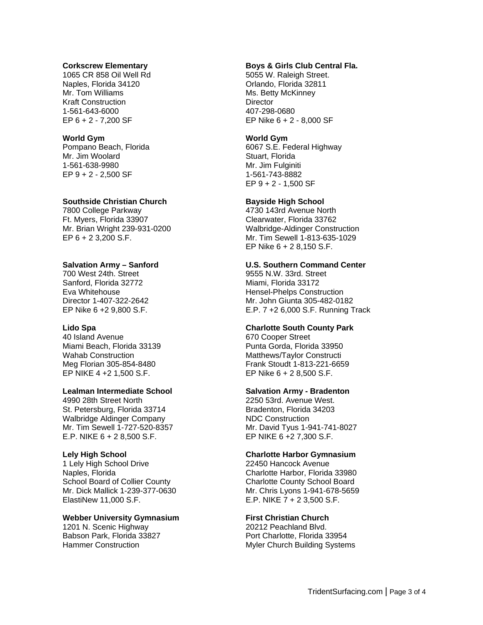#### **Corkscrew Elementary**

1065 CR 858 Oil Well Rd Naples, Florida 34120 Mr. Tom Williams Kraft Construction 1-561-643-6000 EP 6 + 2 - 7,200 SF

# **World Gym**

Pompano Beach, Florida Mr. Jim Woolard 1-561-638-9980 EP 9 + 2 - 2,500 SF

#### **Southside Christian Church**

7800 College Parkway Ft. Myers, Florida 33907 Mr. Brian Wright 239-931-0200 EP 6 + 2 3,200 S.F.

## **Salvation Army – Sanford**

700 West 24th. Street Sanford, Florida 32772 Eva Whitehouse Director 1-407-322-2642 EP Nike 6 +2 9,800 S.F.

## **Lido Spa**

40 Island Avenue Miami Beach, Florida 33139 Wahab Construction Meg Florian 305-854-8480 EP NIKE 4 +2 1,500 S.F.

## **Lealman Intermediate School**

4990 28th Street North St. Petersburg, Florida 33714 Walbridge Aldinger Company Mr. Tim Sewell 1-727-520-8357 E.P. NIKE 6 + 2 8,500 S.F.

## **Lely High School**

1 Lely High School Drive Naples, Florida School Board of Collier County Mr. Dick Mallick 1-239-377-0630 ElastiNew 11,000 S.F.

#### **Webber University Gymnasium**

1201 N. Scenic Highway Babson Park, Florida 33827 Hammer Construction

## **Boys & Girls Club Central Fla.**

5055 W. Raleigh Street. Orlando, Florida 32811 Ms. Betty McKinney **Director** 407-298-0680 EP Nike 6 + 2 - 8,000 SF

#### **World Gym**

6067 S.E. Federal Highway Stuart, Florida Mr. Jim Fulginiti 1-561-743-8882 EP 9 + 2 - 1,500 SF

## **Bayside High School**

4730 143rd Avenue North Clearwater, Florida 33762 Walbridge-Aldinger Construction Mr. Tim Sewell 1-813-635-1029 EP Nike 6 + 2 8,150 S.F.

#### **U.S. Southern Command Center**

9555 N.W. 33rd. Street Miami, Florida 33172 Hensel-Phelps Construction Mr. John Giunta 305-482-0182 E.P. 7 +2 6,000 S.F. Running Track

#### **Charlotte South County Park**

670 Cooper Street Punta Gorda, Florida 33950 Matthews/Taylor Constructi Frank Stoudt 1-813-221-6659 EP Nike 6 + 2 8,500 S.F.

## **Salvation Army - Bradenton**

2250 53rd. Avenue West. Bradenton, Florida 34203 NDC Construction Mr. David Tyus 1-941-741-8027 EP NIKE 6 +2 7,300 S.F.

## **Charlotte Harbor Gymnasium**

22450 Hancock Avenue Charlotte Harbor, Florida 33980 Charlotte County School Board Mr. Chris Lyons 1-941-678-5659 E.P. NIKE 7 + 2 3,500 S.F.

## **First Christian Church**

20212 Peachland Blvd. Port Charlotte, Florida 33954 Myler Church Building Systems